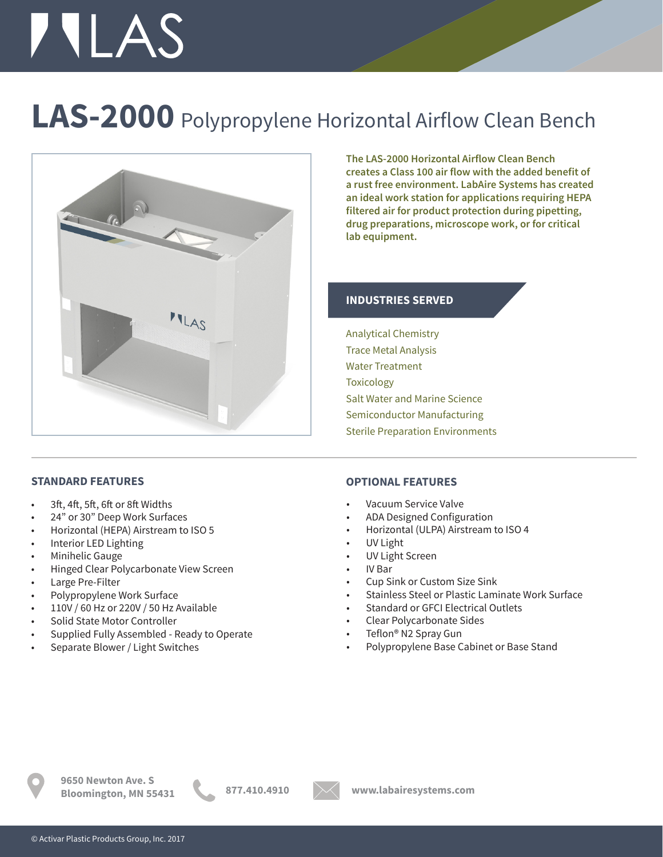# **TILAS**

## **LAS-2000** Polypropylene Horizontal Airflow Clean Bench



**The LAS-2000 Horizontal Airflow Clean Bench creates a Class 100 air flow with the added benefit of a rust free environment. LabAire Systems has created an ideal work station for applications requiring HEPA filtered air for product protection during pipetting, drug preparations, microscope work, or for critical lab equipment.** 

### **INDUSTRIES SERVED**

Analytical Chemistry Trace Metal Analysis Water Treatment **Toxicology** Salt Water and Marine Science Semiconductor Manufacturing Sterile Preparation Environments

### **STANDARD FEATURES**

- 3ft, 4ft, 5ft, 6ft or 8ft Widths
- 24" or 30" Deep Work Surfaces
- Horizontal (HEPA) Airstream to ISO 5
- Interior LED Lighting
- Minihelic Gauge
- Hinged Clear Polycarbonate View Screen
- Large Pre-Filter
- Polypropylene Work Surface
- 110V / 60 Hz or 220V / 50 Hz Available
- Solid State Motor Controller
- Supplied Fully Assembled Ready to Operate
- Separate Blower / Light Switches

#### **OPTIONAL FEATURES**

- Vacuum Service Valve
- ADA Designed Configuration
- Horizontal (ULPA) Airstream to ISO 4
- UV Light
- UV Light Screen
- IV Bar
- Cup Sink or Custom Size Sink
- Stainless Steel or Plastic Laminate Work Surface
- Standard or GFCI Electrical Outlets
- Clear Polycarbonate Sides
- Teflon® N2 Spray Gun
- Polypropylene Base Cabinet or Base Stand



**9650 Newton Ave. S Bloomington, MN 55431 877.410.4910 www.labairesystems.com**